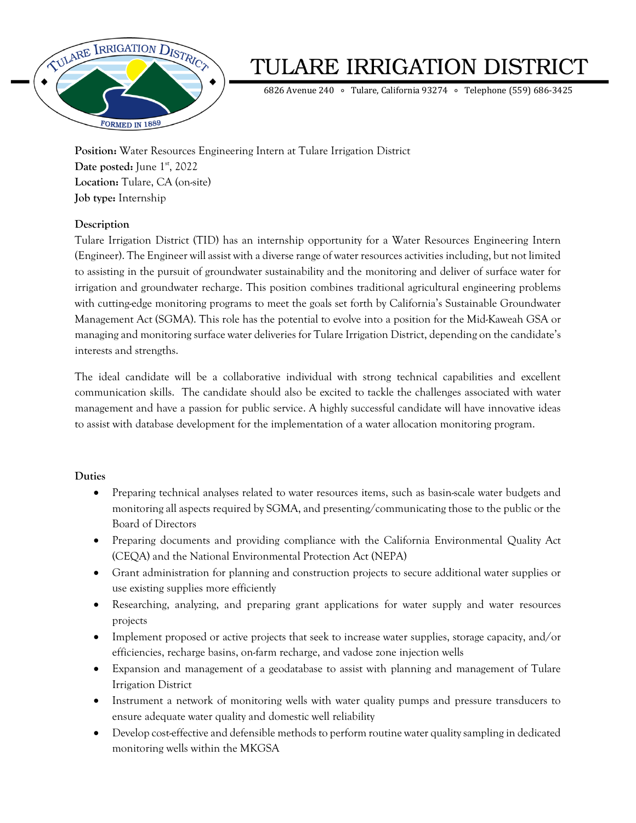

# TULARE IRRIGATION DISTRICT

6826 Avenue 240 ∘ Tulare, California 93274 ∘ Telephone (559) 686-3425

**Position:** Water Resources Engineering Intern at Tulare Irrigation District Date posted: June 1<sup>st</sup>, 2022 **Location:** Tulare, CA (on-site) **Job type:** Internship

### **Description**

Tulare Irrigation District (TID) has an internship opportunity for a Water Resources Engineering Intern (Engineer). The Engineer will assist with a diverse range of water resources activities including, but not limited to assisting in the pursuit of groundwater sustainability and the monitoring and deliver of surface water for irrigation and groundwater recharge. This position combines traditional agricultural engineering problems with cutting-edge monitoring programs to meet the goals set forth by California's Sustainable Groundwater Management Act (SGMA). This role has the potential to evolve into a position for the Mid-Kaweah GSA or managing and monitoring surface water deliveries for Tulare Irrigation District, depending on the candidate's interests and strengths.

The ideal candidate will be a collaborative individual with strong technical capabilities and excellent communication skills. The candidate should also be excited to tackle the challenges associated with water management and have a passion for public service. A highly successful candidate will have innovative ideas to assist with database development for the implementation of a water allocation monitoring program.

### **Duties**

- Preparing technical analyses related to water resources items, such as basin-scale water budgets and monitoring all aspects required by SGMA, and presenting/communicating those to the public or the Board of Directors
- Preparing documents and providing compliance with the California Environmental Quality Act (CEQA) and the National Environmental Protection Act (NEPA)
- Grant administration for planning and construction projects to secure additional water supplies or use existing supplies more efficiently
- Researching, analyzing, and preparing grant applications for water supply and water resources projects
- Implement proposed or active projects that seek to increase water supplies, storage capacity, and/or efficiencies, recharge basins, on-farm recharge, and vadose zone injection wells
- Expansion and management of a geodatabase to assist with planning and management of Tulare Irrigation District
- Instrument a network of monitoring wells with water quality pumps and pressure transducers to ensure adequate water quality and domestic well reliability
- Develop cost-effective and defensible methods to perform routine water quality sampling in dedicated monitoring wells within the MKGSA